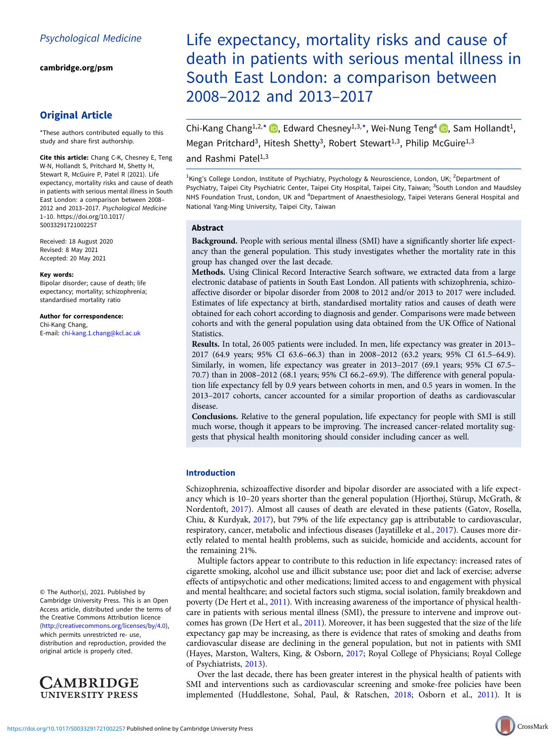[cambridge.org/psm](https://www.cambridge.org/psm)

# Original Article

\*These authors contributed equally to this study and share first authorship.

Cite this article: Chang C-K, Chesney E, Teng W-N, Hollandt S, Pritchard M, Shetty H, Stewart R, McGuire P, Patel R (2021). Life expectancy, mortality risks and cause of death in patients with serious mental illness in South East London: a comparison between 2008– 2012 and 2013–2017. Psychological Medicine 1–10. [https://doi.org/10.1017/](https://doi.org/10.1017/S0033291721002257) [S0033291721002257](https://doi.org/10.1017/S0033291721002257)

Received: 18 August 2020 Revised: 8 May 2021 Accepted: 20 May 2021

#### Key words:

Bipolar disorder; cause of death; life expectancy; mortality; schizophrenia; standardised mortality ratio

#### Author for correspondence: Chi-Kang Chang, E-mail: [chi-kang.1.chang@kcl.ac.uk](mailto:chi-kang.1.chang@kcl.ac.uk)

© The Author(s), 2021. Published by Cambridge University Press. This is an Open Access article, distributed under the terms of the Creative Commons Attribution licence (<http://creativecommons.org/licenses/by/4.0>), which permits unrestricted re- use, distribution and reproduction, provided the original article is properly cited.



Life expectancy, mortality risks and cause of death in patients with serious mental illness in South East London: a comparison between 2008–2012 and 2013–2017

Chi-Kang Chang<sup>1,2,\*</sup>  $\bullet$ , Edward Chesney<sup>1,3,\*</sup>, Wei-Nung Teng<sup>4</sup>  $\bullet$ , Sam Hollandt<sup>1</sup>, Megan Pritchard<sup>3</sup>, Hitesh Shetty<sup>3</sup>, Robert Stewart<sup>1,3</sup>, Philip McGuire<sup>1,3</sup> and Rashmi Pate $[1,3]$ 

<sup>1</sup>King's College London, Institute of Psychiatry, Psychology & Neuroscience, London, UK; <sup>2</sup>Department of Psychiatry, Taipei City Psychiatric Center, Taipei City Hospital, Taipei City, Taiwan; <sup>3</sup>South London and Maudsley NHS Foundation Trust, London, UK and <sup>4</sup>Department of Anaesthesiology, Taipei Veterans General Hospital and National Yang-Ming University, Taipei City, Taiwan

# Abstract

Background. People with serious mental illness (SMI) have a significantly shorter life expectancy than the general population. This study investigates whether the mortality rate in this group has changed over the last decade.

Methods. Using Clinical Record Interactive Search software, we extracted data from a large electronic database of patients in South East London. All patients with schizophrenia, schizoaffective disorder or bipolar disorder from 2008 to 2012 and/or 2013 to 2017 were included. Estimates of life expectancy at birth, standardised mortality ratios and causes of death were obtained for each cohort according to diagnosis and gender. Comparisons were made between cohorts and with the general population using data obtained from the UK Office of National Statistics.

Results. In total, 26 005 patients were included. In men, life expectancy was greater in 2013– 2017 (64.9 years; 95% CI 63.6–66.3) than in 2008–2012 (63.2 years; 95% CI 61.5–64.9). Similarly, in women, life expectancy was greater in 2013–2017 (69.1 years; 95% CI 67.5– 70.7) than in 2008–2012 (68.1 years; 95% CI 66.2–69.9). The difference with general population life expectancy fell by 0.9 years between cohorts in men, and 0.5 years in women. In the 2013–2017 cohorts, cancer accounted for a similar proportion of deaths as cardiovascular disease.

Conclusions. Relative to the general population, life expectancy for people with SMI is still much worse, though it appears to be improving. The increased cancer-related mortality suggests that physical health monitoring should consider including cancer as well.

# Introduction

Schizophrenia, schizoaffective disorder and bipolar disorder are associated with a life expectancy which is 10–20 years shorter than the general population (Hjorthøj, Stürup, McGrath, & Nordentoft, [2017\)](#page-9-0). Almost all causes of death are elevated in these patients (Gatov, Rosella, Chiu, & Kurdyak, [2017](#page-8-0)), but 79% of the life expectancy gap is attributable to cardiovascular, respiratory, cancer, metabolic and infectious diseases (Jayatilleke et al., [2017](#page-9-0)). Causes more directly related to mental health problems, such as suicide, homicide and accidents, account for the remaining 21%.

Multiple factors appear to contribute to this reduction in life expectancy: increased rates of cigarette smoking, alcohol use and illicit substance use; poor diet and lack of exercise; adverse effects of antipsychotic and other medications; limited access to and engagement with physical and mental healthcare; and societal factors such stigma, social isolation, family breakdown and poverty (De Hert et al., [2011\)](#page-8-0). With increasing awareness of the importance of physical healthcare in patients with serious mental illness (SMI), the pressure to intervene and improve outcomes has grown (De Hert et al., [2011](#page-8-0)). Moreover, it has been suggested that the size of the life expectancy gap may be increasing, as there is evidence that rates of smoking and deaths from cardiovascular disease are declining in the general population, but not in patients with SMI (Hayes, Marston, Walters, King, & Osborn, [2017](#page-8-0); Royal College of Physicians; Royal College of Psychiatrists, [2013](#page-9-0)).

Over the last decade, there has been greater interest in the physical health of patients with SMI and interventions such as cardiovascular screening and smoke-free policies have been implemented (Huddlestone, Sohal, Paul, & Ratschen, [2018;](#page-9-0) Osborn et al., [2011](#page-9-0)). It is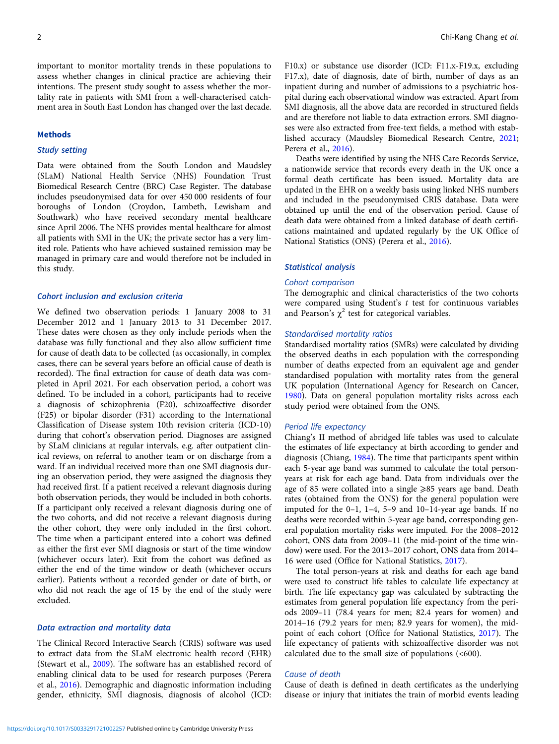important to monitor mortality trends in these populations to assess whether changes in clinical practice are achieving their intentions. The present study sought to assess whether the mortality rate in patients with SMI from a well-characterised catchment area in South East London has changed over the last decade.

## Methods

# Study setting

Data were obtained from the South London and Maudsley (SLaM) National Health Service (NHS) Foundation Trust Biomedical Research Centre (BRC) Case Register. The database includes pseudonymised data for over 450 000 residents of four boroughs of London (Croydon, Lambeth, Lewisham and Southwark) who have received secondary mental healthcare since April 2006. The NHS provides mental healthcare for almost all patients with SMI in the UK; the private sector has a very limited role. Patients who have achieved sustained remission may be managed in primary care and would therefore not be included in this study.

# Cohort inclusion and exclusion criteria

We defined two observation periods: 1 January 2008 to 31 December 2012 and 1 January 2013 to 31 December 2017. These dates were chosen as they only include periods when the database was fully functional and they also allow sufficient time for cause of death data to be collected (as occasionally, in complex cases, there can be several years before an official cause of death is recorded). The final extraction for cause of death data was completed in April 2021. For each observation period, a cohort was defined. To be included in a cohort, participants had to receive a diagnosis of schizophrenia (F20), schizoaffective disorder (F25) or bipolar disorder (F31) according to the International Classification of Disease system 10th revision criteria (ICD-10) during that cohort's observation period. Diagnoses are assigned by SLaM clinicians at regular intervals, e.g. after outpatient clinical reviews, on referral to another team or on discharge from a ward. If an individual received more than one SMI diagnosis during an observation period, they were assigned the diagnosis they had received first. If a patient received a relevant diagnosis during both observation periods, they would be included in both cohorts. If a participant only received a relevant diagnosis during one of the two cohorts, and did not receive a relevant diagnosis during the other cohort, they were only included in the first cohort. The time when a participant entered into a cohort was defined as either the first ever SMI diagnosis or start of the time window (whichever occurs later). Exit from the cohort was defined as either the end of the time window or death (whichever occurs earlier). Patients without a recorded gender or date of birth, or who did not reach the age of 15 by the end of the study were excluded.

# Data extraction and mortality data

The Clinical Record Interactive Search (CRIS) software was used to extract data from the SLaM electronic health record (EHR) (Stewart et al., [2009](#page-9-0)). The software has an established record of enabling clinical data to be used for research purposes (Perera et al., [2016\)](#page-9-0). Demographic and diagnostic information including gender, ethnicity, SMI diagnosis, diagnosis of alcohol (ICD: F10.x) or substance use disorder (ICD: F11.x-F19.x, excluding F17.x), date of diagnosis, date of birth, number of days as an inpatient during and number of admissions to a psychiatric hospital during each observational window was extracted. Apart from SMI diagnosis, all the above data are recorded in structured fields and are therefore not liable to data extraction errors. SMI diagnoses were also extracted from free-text fields, a method with established accuracy (Maudsley Biomedical Research Centre, [2021;](#page-9-0) Perera et al., [2016](#page-9-0)).

Deaths were identified by using the NHS Care Records Service, a nationwide service that records every death in the UK once a formal death certificate has been issued. Mortality data are updated in the EHR on a weekly basis using linked NHS numbers and included in the pseudonymised CRIS database. Data were obtained up until the end of the observation period. Cause of death data were obtained from a linked database of death certifications maintained and updated regularly by the UK Office of National Statistics (ONS) (Perera et al., [2016\)](#page-9-0).

## Statistical analysis

## Cohort comparison

The demographic and clinical characteristics of the two cohorts were compared using Student's  $t$  test for continuous variables and Pearson's  $\chi^2$  test for categorical variables.

#### Standardised mortality ratios

Standardised mortality ratios (SMRs) were calculated by dividing the observed deaths in each population with the corresponding number of deaths expected from an equivalent age and gender standardised population with mortality rates from the general UK population (International Agency for Research on Cancer, [1980\)](#page-9-0). Data on general population mortality risks across each study period were obtained from the ONS.

## Period life expectancy

Chiang's II method of abridged life tables was used to calculate the estimates of life expectancy at birth according to gender and diagnosis (Chiang, [1984\)](#page-8-0). The time that participants spent within each 5-year age band was summed to calculate the total personyears at risk for each age band. Data from individuals over the age of 85 were collated into a single ≥85 years age band. Death rates (obtained from the ONS) for the general population were imputed for the 0–1, 1–4, 5–9 and 10–14-year age bands. If no deaths were recorded within 5-year age band, corresponding general population mortality risks were imputed. For the 2008–2012 cohort, ONS data from 2009–11 (the mid-point of the time window) were used. For the 2013–2017 cohort, ONS data from 2014– 16 were used (Office for National Statistics, [2017](#page-9-0)).

The total person-years at risk and deaths for each age band were used to construct life tables to calculate life expectancy at birth. The life expectancy gap was calculated by subtracting the estimates from general population life expectancy from the periods 2009–11 (78.4 years for men; 82.4 years for women) and 2014–16 (79.2 years for men; 82.9 years for women), the midpoint of each cohort (Office for National Statistics, [2017](#page-9-0)). The life expectancy of patients with schizoaffective disorder was not calculated due to the small size of populations (<600).

# Cause of death

Cause of death is defined in death certificates as the underlying disease or injury that initiates the train of morbid events leading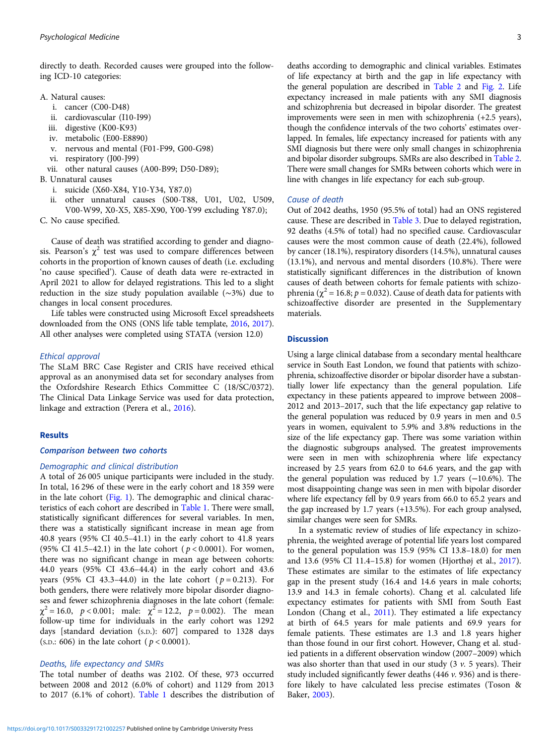directly to death. Recorded causes were grouped into the following ICD-10 categories:

- A. Natural causes:
	- i. cancer (C00-D48)
	- ii. cardiovascular (I10-I99)
	- iii. digestive (K00-K93)
	- iv. metabolic (E00-E8890)
	- v. nervous and mental (F01-F99, G00-G98)
	- vi. respiratory (J00-J99)
	- vii. other natural causes (A00-B99; D50-D89);
- B. Unnatural causes
	- i. suicide (X60-X84, Y10-Y34, Y87.0)
	- ii. other unnatural causes (S00-T88, U01, U02, U509, V00-W99, X0-X5, X85-X90, Y00-Y99 excluding Y87.0);
- C. No cause specified.

Cause of death was stratified according to gender and diagnosis. Pearson's  $\chi^2$  test was used to compare differences between cohorts in the proportion of known causes of death (i.e. excluding 'no cause specified'). Cause of death data were re-extracted in April 2021 to allow for delayed registrations. This led to a slight reduction in the size study population available (∼3%) due to changes in local consent procedures.

Life tables were constructed using Microsoft Excel spreadsheets downloaded from the ONS (ONS life table template, [2016,](#page-9-0) [2017\)](#page-9-0). All other analyses were completed using STATA (version 12.0)

#### Ethical approval

The SLaM BRC Case Register and CRIS have received ethical approval as an anonymised data set for secondary analyses from the Oxfordshire Research Ethics Committee C (18/SC/0372). The Clinical Data Linkage Service was used for data protection, linkage and extraction (Perera et al., [2016](#page-9-0)).

## Results

## Comparison between two cohorts

#### Demographic and clinical distribution

A total of 26 005 unique participants were included in the study. In total, 16 296 of these were in the early cohort and 18 359 were in the late cohort [\(Fig. 1\)](#page-3-0). The demographic and clinical characteristics of each cohort are described in [Table 1.](#page-4-0) There were small, statistically significant differences for several variables. In men, there was a statistically significant increase in mean age from 40.8 years (95% CI 40.5–41.1) in the early cohort to 41.8 years (95% CI 41.5–42.1) in the late cohort ( $p < 0.0001$ ). For women, there was no significant change in mean age between cohorts: 44.0 years (95% CI 43.6–44.4) in the early cohort and 43.6 years (95% CI 43.3–44.0) in the late cohort ( $p = 0.213$ ). For both genders, there were relatively more bipolar disorder diagnoses and fewer schizophrenia diagnoses in the late cohort (female:  $\chi^2 = 16.0$ ,  $p < 0.001$ ; male:  $\chi^2 = 12.2$ ,  $p = 0.002$ ). The mean follow-up time for individuals in the early cohort was 1292 days [standard deviation (S.D.): 607] compared to 1328 days (s.p.: 606) in the late cohort ( $p < 0.0001$ ).

# Deaths, life expectancy and SMRs

The total number of deaths was 2102. Of these, 973 occurred between 2008 and 2012 (6.0% of cohort) and 1129 from 2013 to 2017 (6.1% of cohort). [Table 1](#page-4-0) describes the distribution of deaths according to demographic and clinical variables. Estimates of life expectancy at birth and the gap in life expectancy with the general population are described in [Table 2](#page-6-0) and [Fig. 2.](#page-6-0) Life expectancy increased in male patients with any SMI diagnosis and schizophrenia but decreased in bipolar disorder. The greatest improvements were seen in men with schizophrenia (+2.5 years), though the confidence intervals of the two cohorts' estimates overlapped. In females, life expectancy increased for patients with any SMI diagnosis but there were only small changes in schizophrenia and bipolar disorder subgroups. SMRs are also described in [Table 2](#page-6-0). There were small changes for SMRs between cohorts which were in line with changes in life expectancy for each sub-group.

## Cause of death

Out of 2042 deaths, 1950 (95.5% of total) had an ONS registered cause. These are described in [Table 3.](#page-7-0) Due to delayed registration, 92 deaths (4.5% of total) had no specified cause. Cardiovascular causes were the most common cause of death (22.4%), followed by cancer (18.1%), respiratory disorders (14.5%), unnatural causes (13.1%), and nervous and mental disorders (10.8%). There were statistically significant differences in the distribution of known causes of death between cohorts for female patients with schizophrenia ( $\chi^2$  = 16.8; *p* = 0.032). Cause of death data for patients with schizoaffective disorder are presented in the Supplementary materials.

## **Discussion**

Using a large clinical database from a secondary mental healthcare service in South East London, we found that patients with schizophrenia, schizoaffective disorder or bipolar disorder have a substantially lower life expectancy than the general population. Life expectancy in these patients appeared to improve between 2008– 2012 and 2013–2017, such that the life expectancy gap relative to the general population was reduced by 0.9 years in men and 0.5 years in women, equivalent to 5.9% and 3.8% reductions in the size of the life expectancy gap. There was some variation within the diagnostic subgroups analysed. The greatest improvements were seen in men with schizophrenia where life expectancy increased by 2.5 years from 62.0 to 64.6 years, and the gap with the general population was reduced by 1.7 years (−10.6%). The most disappointing change was seen in men with bipolar disorder where life expectancy fell by 0.9 years from 66.0 to 65.2 years and the gap increased by 1.7 years (+13.5%). For each group analysed, similar changes were seen for SMRs.

In a systematic review of studies of life expectancy in schizophrenia, the weighted average of potential life years lost compared to the general population was 15.9 (95% CI 13.8–18.0) for men and 13.6 (95% CI 11.4–15.8) for women (Hjorthøj et al., [2017](#page-9-0)). These estimates are similar to the estimates of life expectancy gap in the present study (16.4 and 14.6 years in male cohorts; 13.9 and 14.3 in female cohorts). Chang et al. calculated life expectancy estimates for patients with SMI from South East London (Chang et al., [2011\)](#page-8-0). They estimated a life expectancy at birth of 64.5 years for male patients and 69.9 years for female patients. These estimates are 1.3 and 1.8 years higher than those found in our first cohort. However, Chang et al. studied patients in a different observation window (2007–2009) which was also shorter than that used in our study  $(3 \nu. 5 \text{ years})$ . Their study included significantly fewer deaths (446  $\nu$ . 936) and is therefore likely to have calculated less precise estimates (Toson & Baker, [2003](#page-9-0)).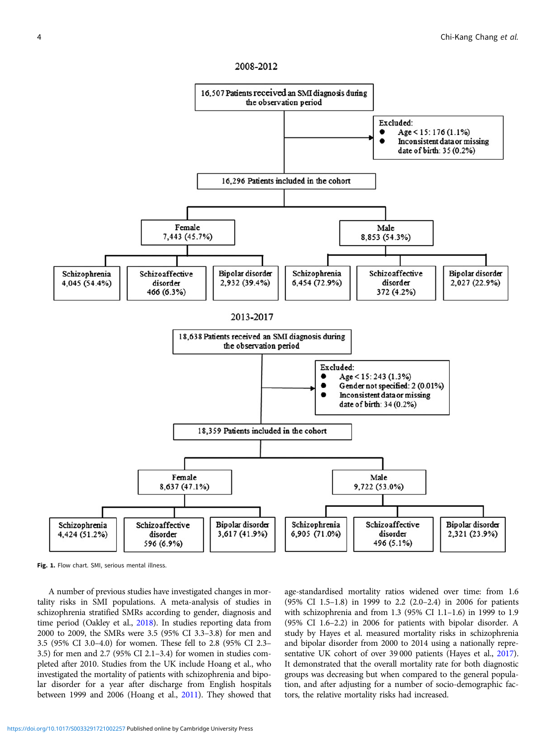

<span id="page-3-0"></span>

Fig. 1. Flow chart. SMI, serious mental illness.

A number of previous studies have investigated changes in mortality risks in SMI populations. A meta-analysis of studies in schizophrenia stratified SMRs according to gender, diagnosis and time period (Oakley et al., [2018](#page-9-0)). In studies reporting data from 2000 to 2009, the SMRs were 3.5 (95% CI 3.3–3.8) for men and 3.5 (95% CI 3.0–4.0) for women. These fell to 2.8 (95% CI 2.3– 3.5) for men and 2.7 (95% CI 2.1–3.4) for women in studies completed after 2010. Studies from the UK include Hoang et al., who investigated the mortality of patients with schizophrenia and bipolar disorder for a year after discharge from English hospitals between 1999 and 2006 (Hoang et al., [2011](#page-9-0)). They showed that

age-standardised mortality ratios widened over time: from 1.6 (95% CI 1.5–1.8) in 1999 to 2.2 (2.0–2.4) in 2006 for patients with schizophrenia and from 1.3 (95% CI 1.1–1.6) in 1999 to 1.9 (95% CI 1.6–2.2) in 2006 for patients with bipolar disorder. A study by Hayes et al. measured mortality risks in schizophrenia and bipolar disorder from 2000 to 2014 using a nationally representative UK cohort of over 39 000 patients (Hayes et al., [2017](#page-8-0)). It demonstrated that the overall mortality rate for both diagnostic groups was decreasing but when compared to the general population, and after adjusting for a number of socio-demographic factors, the relative mortality risks had increased.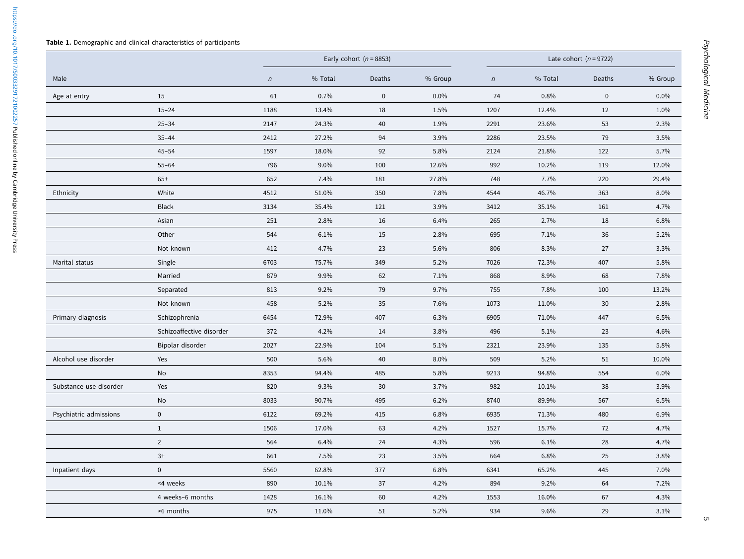<span id="page-4-0"></span>https://doi.org/10.1017/S0033291721002257 Published online by Cambridge University Press <https://doi.org/10.1017/S0033291721002257>Published online by Cambridge University Press

|                        |                          |            | Early cohort ( $n = 8853$ ) |           |         | Late cohort $(n = 9722)$ |         |             |         |
|------------------------|--------------------------|------------|-----------------------------|-----------|---------|--------------------------|---------|-------------|---------|
| Male                   |                          | $\sqrt{n}$ | % Total                     | Deaths    | % Group | $\mathsf{n}$             | % Total | Deaths      | % Group |
| Age at entry           | 15                       | 61         | 0.7%                        | $\pmb{0}$ | 0.0%    | 74                       | 0.8%    | $\mathbf 0$ | $0.0\%$ |
|                        | $15 - 24$                | 1188       | 13.4%                       | 18        | 1.5%    | 1207                     | 12.4%   | 12          | 1.0%    |
|                        | $25 - 34$                | 2147       | 24.3%                       | 40        | 1.9%    | 2291                     | 23.6%   | 53          | 2.3%    |
|                        | $35 - 44$                | 2412       | 27.2%                       | 94        | 3.9%    | 2286                     | 23.5%   | 79          | 3.5%    |
|                        | $45 - 54$                | 1597       | 18.0%                       | 92        | 5.8%    | 2124                     | 21.8%   | 122         | 5.7%    |
|                        | $55 - 64$                | 796        | 9.0%                        | 100       | 12.6%   | 992                      | 10.2%   | 119         | 12.0%   |
|                        | $65+$                    | 652        | 7.4%                        | 181       | 27.8%   | 748                      | 7.7%    | 220         | 29.4%   |
| Ethnicity              | White                    | 4512       | 51.0%                       | 350       | 7.8%    | 4544                     | 46.7%   | 363         | 8.0%    |
|                        | <b>Black</b>             | 3134       | 35.4%                       | 121       | 3.9%    | 3412                     | 35.1%   | 161         | 4.7%    |
|                        | Asian                    | 251        | 2.8%                        | 16        | 6.4%    | 265                      | 2.7%    | 18          | 6.8%    |
|                        | Other                    | 544        | 6.1%                        | 15        | 2.8%    | 695                      | 7.1%    | 36          | 5.2%    |
|                        | Not known                | 412        | 4.7%                        | 23        | 5.6%    | 806                      | 8.3%    | 27          | 3.3%    |
| Marital status         | Single                   | 6703       | 75.7%                       | 349       | 5.2%    | 7026                     | 72.3%   | 407         | 5.8%    |
|                        | Married                  | 879        | 9.9%                        | 62        | 7.1%    | 868                      | 8.9%    | 68          | 7.8%    |
|                        | Separated                | 813        | 9.2%                        | 79        | 9.7%    | 755                      | 7.8%    | 100         | 13.2%   |
|                        | Not known                | 458        | 5.2%                        | 35        | 7.6%    | 1073                     | 11.0%   | 30          | 2.8%    |
| Primary diagnosis      | Schizophrenia            | 6454       | 72.9%                       | 407       | 6.3%    | 6905                     | 71.0%   | 447         | 6.5%    |
|                        | Schizoaffective disorder | 372        | 4.2%                        | 14        | 3.8%    | 496                      | 5.1%    | 23          | 4.6%    |
|                        | Bipolar disorder         | 2027       | 22.9%                       | 104       | 5.1%    | 2321                     | 23.9%   | 135         | 5.8%    |
| Alcohol use disorder   | Yes                      | 500        | 5.6%                        | 40        | 8.0%    | 509                      | 5.2%    | 51          | 10.0%   |
|                        | No                       | 8353       | 94.4%                       | 485       | 5.8%    | 9213                     | 94.8%   | 554         | 6.0%    |
| Substance use disorder | Yes                      | 820        | 9.3%                        | 30        | 3.7%    | 982                      | 10.1%   | 38          | 3.9%    |
|                        | No                       | 8033       | 90.7%                       | 495       | 6.2%    | 8740                     | 89.9%   | 567         | 6.5%    |
| Psychiatric admissions | $\mathbf{0}$             | 6122       | 69.2%                       | 415       | 6.8%    | 6935                     | 71.3%   | 480         | 6.9%    |
|                        | $\mathbf{1}$             | 1506       | 17.0%                       | 63        | 4.2%    | 1527                     | 15.7%   | 72          | 4.7%    |
|                        | $\overline{2}$           | 564        | 6.4%                        | 24        | 4.3%    | 596                      | 6.1%    | 28          | 4.7%    |
|                        | $3+$                     | 661        | 7.5%                        | 23        | 3.5%    | 664                      | 6.8%    | 25          | 3.8%    |
| Inpatient days         | $\mathbf 0$              | 5560       | 62.8%                       | 377       | 6.8%    | 6341                     | 65.2%   | 445         | 7.0%    |
|                        | <4 weeks                 | 890        | 10.1%                       | 37        | 4.2%    | 894                      | 9.2%    | 64          | 7.2%    |
|                        | 4 weeks-6 months         | 1428       | 16.1%                       | 60        | 4.2%    | 1553                     | 16.0%   | 67          | 4.3%    |
|                        | >6 months                | 975        | 11.0%                       | 51        | 5.2%    | 934                      | 9.6%    | 29          | 3.1%    |

יט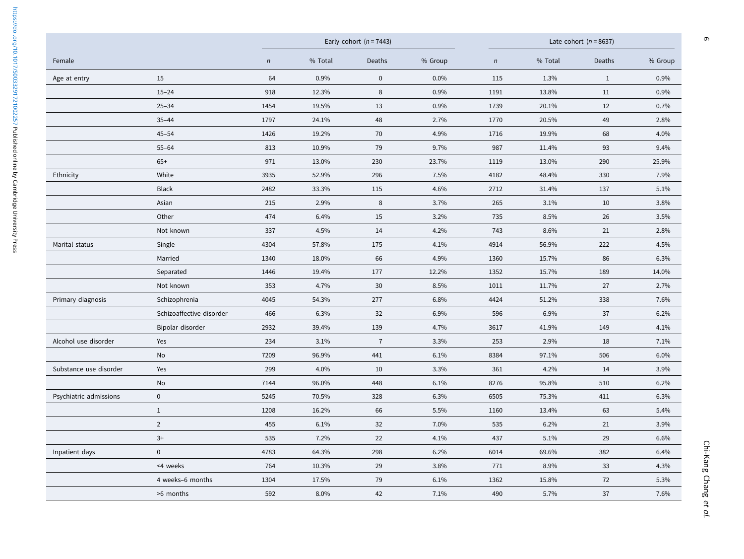|                        |                          |            |         | Early cohort $(n = 7443)$ |         |            | Late cohort ( $n = 8637$ ) |              |         |  |
|------------------------|--------------------------|------------|---------|---------------------------|---------|------------|----------------------------|--------------|---------|--|
| Female                 |                          | $\sqrt{n}$ | % Total | Deaths                    | % Group | $\sqrt{n}$ | % Total                    | Deaths       | % Group |  |
| Age at entry           | 15                       | 64         | 0.9%    | $\pmb{0}$                 | 0.0%    | 115        | 1.3%                       | $\mathbf{1}$ | 0.9%    |  |
|                        | $15 - 24$                | 918        | 12.3%   | 8                         | 0.9%    | 1191       | 13.8%                      | 11           | 0.9%    |  |
|                        | $25 - 34$                | 1454       | 19.5%   | 13                        | 0.9%    | 1739       | 20.1%                      | 12           | 0.7%    |  |
|                        | $35 - 44$                | 1797       | 24.1%   | 48                        | 2.7%    | 1770       | 20.5%                      | 49           | 2.8%    |  |
|                        | $45 - 54$                | 1426       | 19.2%   | 70                        | 4.9%    | 1716       | 19.9%                      | 68           | 4.0%    |  |
|                        | $55 - 64$                | 813        | 10.9%   | 79                        | 9.7%    | 987        | 11.4%                      | 93           | 9.4%    |  |
|                        | $65+$                    | 971        | 13.0%   | 230                       | 23.7%   | 1119       | 13.0%                      | 290          | 25.9%   |  |
| Ethnicity              | White                    | 3935       | 52.9%   | 296                       | 7.5%    | 4182       | 48.4%                      | 330          | 7.9%    |  |
|                        | <b>Black</b>             | 2482       | 33.3%   | 115                       | 4.6%    | 2712       | 31.4%                      | 137          | 5.1%    |  |
|                        | Asian                    | 215        | 2.9%    | 8                         | 3.7%    | 265        | 3.1%                       | 10           | 3.8%    |  |
|                        | Other                    | 474        | 6.4%    | 15                        | 3.2%    | 735        | 8.5%                       | 26           | 3.5%    |  |
|                        | Not known                | 337        | 4.5%    | 14                        | 4.2%    | 743        | 8.6%                       | 21           | 2.8%    |  |
| Marital status         | Single                   | 4304       | 57.8%   | 175                       | 4.1%    | 4914       | 56.9%                      | 222          | 4.5%    |  |
|                        | Married                  | 1340       | 18.0%   | 66                        | 4.9%    | 1360       | 15.7%                      | 86           | 6.3%    |  |
|                        | Separated                | 1446       | 19.4%   | 177                       | 12.2%   | 1352       | 15.7%                      | 189          | 14.0%   |  |
|                        | Not known                | 353        | 4.7%    | 30                        | 8.5%    | 1011       | 11.7%                      | 27           | 2.7%    |  |
| Primary diagnosis      | Schizophrenia            | 4045       | 54.3%   | 277                       | 6.8%    | 4424       | 51.2%                      | 338          | 7.6%    |  |
|                        | Schizoaffective disorder | 466        | 6.3%    | 32                        | 6.9%    | 596        | 6.9%                       | 37           | 6.2%    |  |
|                        | Bipolar disorder         | 2932       | 39.4%   | 139                       | 4.7%    | 3617       | 41.9%                      | 149          | 4.1%    |  |
| Alcohol use disorder   | Yes                      | 234        | 3.1%    | $\overline{7}$            | 3.3%    | 253        | 2.9%                       | 18           | 7.1%    |  |
|                        | No                       | 7209       | 96.9%   | 441                       | 6.1%    | 8384       | 97.1%                      | 506          | 6.0%    |  |
| Substance use disorder | Yes                      | 299        | 4.0%    | 10                        | 3.3%    | 361        | 4.2%                       | 14           | 3.9%    |  |
|                        | No                       | 7144       | 96.0%   | 448                       | 6.1%    | 8276       | 95.8%                      | 510          | 6.2%    |  |
| Psychiatric admissions | $\pmb{0}$                | 5245       | 70.5%   | 328                       | 6.3%    | 6505       | 75.3%                      | 411          | 6.3%    |  |
|                        | $\mathbf{1}$             | 1208       | 16.2%   | 66                        | 5.5%    | 1160       | 13.4%                      | 63           | 5.4%    |  |
|                        | $\overline{2}$           | 455        | 6.1%    | 32                        | 7.0%    | 535        | 6.2%                       | 21           | 3.9%    |  |
|                        | $3+$                     | 535        | 7.2%    | 22                        | 4.1%    | 437        | 5.1%                       | 29           | 6.6%    |  |
| Inpatient days         | $\mathbf 0$              | 4783       | 64.3%   | 298                       | 6.2%    | 6014       | 69.6%                      | 382          | 6.4%    |  |
|                        | <4 weeks                 | 764        | 10.3%   | 29                        | 3.8%    | 771        | 8.9%                       | 33           | 4.3%    |  |
|                        | 4 weeks-6 months         | 1304       | 17.5%   | 79                        | 6.1%    | 1362       | 15.8%                      | 72           | 5.3%    |  |
|                        | >6 months                | 592        | 8.0%    | 42                        | 7.1%    | 490        | 5.7%                       | 37           | 7.6%    |  |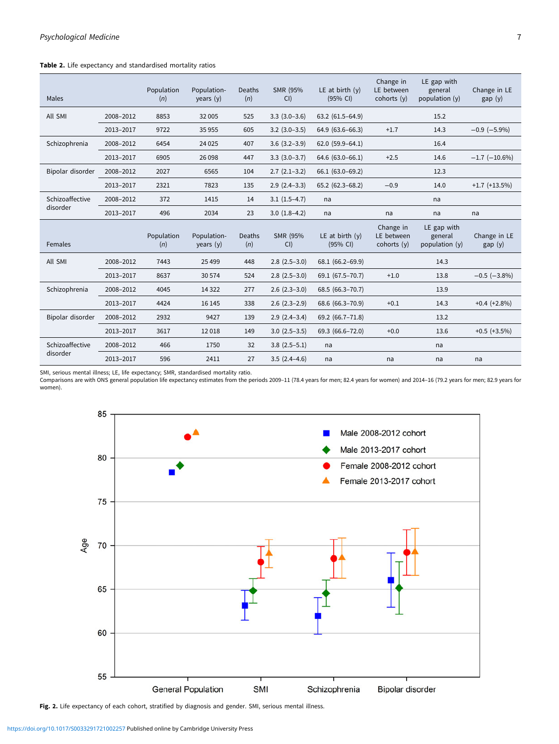## <span id="page-6-0"></span>Table 2. Life expectancy and standardised mortality ratios

| Males                       |           | Population<br>(n) | Population-<br>years (y)   | Deaths<br>(n)        | SMR (95%<br>CI      | LE at birth $(y)$<br>(95% CI) | Change in<br>LE between<br>cohorts (y) | LE gap with<br>general<br>population $(y)$ | Change in LE<br>gap(y) |
|-----------------------------|-----------|-------------------|----------------------------|----------------------|---------------------|-------------------------------|----------------------------------------|--------------------------------------------|------------------------|
| All SMI                     | 2008-2012 | 8853              | 32 005                     | 525                  | $3.3(3.0-3.6)$      | $63.2(61.5-64.9)$             |                                        | 15.2                                       |                        |
|                             | 2013-2017 | 9722              | 35 955                     | 605                  | $3.2$ $(3.0-3.5)$   | 64.9 (63.6-66.3)              | $+1.7$                                 | 14.3                                       | $-0.9$ ( $-5.9\%$ )    |
| Schizophrenia               | 2008-2012 | 6454              | 24 0 25                    | 407                  | $3.6$ $(3.2 - 3.9)$ | $62.0(59.9-64.1)$             |                                        | 16.4                                       |                        |
|                             | 2013-2017 | 6905              | 26 0 98                    | 447                  | $3.3(3.0-3.7)$      | $64.6(63.0 - 66.1)$           | $+2.5$                                 | 14.6                                       | $-1.7$ ( $-10.6\%$ )   |
| Bipolar disorder            | 2008-2012 | 2027              | 6565                       | 104                  | $2.7(2.1-3.2)$      | 66.1 (63.0-69.2)              |                                        | 12.3                                       |                        |
|                             | 2013-2017 | 2321              | 7823                       | 135                  | $2.9(2.4-3.3)$      | 65.2 (62.3-68.2)              | $-0.9$                                 | 14.0                                       | $+1.7$ ( $+13.5\%$ )   |
| Schizoaffective<br>disorder | 2008-2012 | 372               | 1415                       | 14                   | $3.1(1.5-4.7)$      | na                            |                                        | na                                         |                        |
|                             | 2013-2017 | 496               | 2034                       | 23                   | $3.0(1.8-4.2)$      | na                            | na                                     | na                                         | na                     |
| Females                     |           | Population<br>(n) | Population-<br>years $(y)$ | <b>Deaths</b><br>(n) | SMR (95%<br>CI      | LE at birth $(y)$<br>(95% CI) | Change in<br>LE between<br>cohorts (y) | LE gap with<br>general<br>population (y)   | Change in LE<br>gap(y) |
| All SMI                     | 2008-2012 | 7443              | 25 4 99                    | 448                  | $2.8(2.5-3.0)$      | 68.1 (66.2-69.9)              |                                        | 14.3                                       |                        |
|                             | 2013-2017 | 8637              | 30 574                     | 524                  | $2.8$ $(2.5-3.0)$   | 69.1 (67.5-70.7)              | $+1.0$                                 | 13.8                                       | $-0.5$ ( $-3.8\%$ )    |
| Schizophrenia               | 2008-2012 | 4045              | 14 3 22                    | 277                  | $2.6$ $(2.3-3.0)$   | 68.5 (66.3-70.7)              |                                        | 13.9                                       |                        |
|                             | 2013-2017 | 4424              | 16 145                     | 338                  | $2.6$ $(2.3-2.9)$   | 68.6 (66.3-70.9)              | $+0.1$                                 | 14.3                                       | $+0.4 (+2.8%)$         |
| Bipolar disorder            | 2008-2012 | 2932              | 9427                       | 139                  | $2.9(2.4-3.4)$      | 69.2 (66.7-71.8)              |                                        | 13.2                                       |                        |
|                             | 2013-2017 | 3617              | 12018                      | 149                  | $3.0(2.5-3.5)$      | 69.3 (66.6-72.0)              | $+0.0$                                 | 13.6                                       | $+0.5$ ( $+3.5\%$ )    |
| Schizoaffective             | 2008-2012 | 466               | 1750                       | 32                   | $3.8(2.5-5.1)$      | na                            |                                        | na                                         |                        |
| disorder                    |           |                   |                            |                      |                     |                               |                                        |                                            |                        |

SMI, serious mental illness; LE, life expectancy; SMR, standardised mortality ratio.

Comparisons are with ONS general population life expectancy estimates from the periods 2009–11 (78.4 years for men; 82.4 years for women) and 2014–16 (79.2 years for men; 82.9 years for women).



Fig. 2. Life expectancy of each cohort, stratified by diagnosis and gender. SMI, serious mental illness.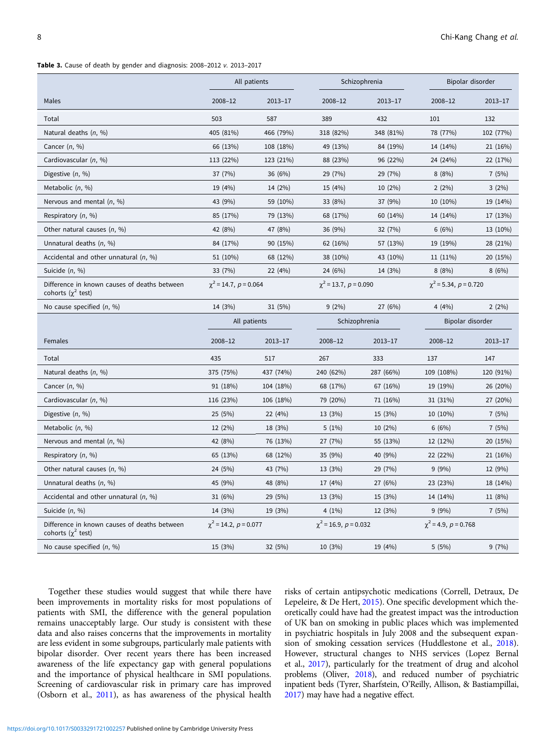<span id="page-7-0"></span>Table 3. Cause of death by gender and diagnosis: 2008–2012 v. 2013–2017

|                                                                          | All patients               |                            |                            | Schizophrenia                | Bipolar disorder           |             |  |
|--------------------------------------------------------------------------|----------------------------|----------------------------|----------------------------|------------------------------|----------------------------|-------------|--|
| Males                                                                    | 2008-12                    | $2013 - 17$                | 2008-12                    | 2013-17                      | 2008-12                    | $2013 - 17$ |  |
| Total                                                                    | 503                        | 587                        | 389                        | 432                          | 101                        | 132         |  |
| Natural deaths $(n, %)$                                                  | 405 (81%)                  | 466 (79%)                  | 318 (82%)                  | 348 (81%)                    | 78 (77%)                   | 102 (77%)   |  |
| Cancer $(n, %)$                                                          | 66 (13%)                   | 108 (18%)                  | 49 (13%)                   | 84 (19%)                     | 14 (14%)                   | 21 (16%)    |  |
| Cardiovascular (n, %)                                                    | 113 (22%)                  | 123 (21%)                  | 88 (23%)                   | 96 (22%)                     | 24 (24%)                   | 22 (17%)    |  |
| Digestive $(n, %)$                                                       | 37 (7%)                    | 36 (6%)                    | 29 (7%)                    | 29 (7%)                      | 8(8%)                      | 7(5%)       |  |
| Metabolic $(n, %)$                                                       | 19 (4%)                    | 14 (2%)                    | 15 (4%)                    | 10 (2%)                      | $2(2\%)$                   | 3(2%)       |  |
| Nervous and mental $(n, %)$                                              | 43 (9%)                    | 59 (10%)                   | 33 (8%)                    | 37 (9%)                      | 10 (10%)                   | 19 (14%)    |  |
| Respiratory (n, %)                                                       | 85 (17%)                   | 79 (13%)                   | 68 (17%)                   | 60 (14%)                     | 14 (14%)                   | 17 (13%)    |  |
| Other natural causes $(n, %)$                                            | 42 (8%)                    | 47 (8%)                    | 36 (9%)                    | 32 (7%)                      | 6(6%)                      | 13 (10%)    |  |
| Unnatural deaths $(n, %)$                                                | 84 (17%)                   | 90 (15%)                   | 62 (16%)                   | 57 (13%)                     | 19 (19%)                   | 28 (21%)    |  |
| Accidental and other unnatural $(n, %)$                                  | 51 (10%)                   | 68 (12%)                   | 38 (10%)                   | 43 (10%)                     | 11 (11%)                   | 20 (15%)    |  |
| Suicide $(n, %)$                                                         | 33 (7%)                    | 22 (4%)                    | 24 (6%)                    | 14 (3%)                      | 8(8%)                      | 8(6%)       |  |
| Difference in known causes of deaths between<br>cohorts ( $\chi^2$ test) | $\chi^2$ = 14.7, p = 0.064 |                            | $\chi^2$ = 13.7, p = 0.090 |                              | $\chi^2$ = 5.34, p = 0.720 |             |  |
| No cause specified $(n, %)$                                              | 14 (3%)                    | 31(5%)                     | 9(2%)                      | 27 (6%)                      | 4 $(4%)$                   | 2(2%)       |  |
|                                                                          | All patients               |                            | Schizophrenia              |                              | Bipolar disorder           |             |  |
| Females                                                                  | 2008-12                    | $2013 - 17$                | 2008-12                    | $2013 - 17$                  | $2008 - 12$                | $2013 - 17$ |  |
| Total                                                                    | 435                        | 517                        | 267                        | 333                          | 137                        | 147         |  |
| Natural deaths $(n, %)$                                                  | 375 (75%)                  | 437 (74%)                  | 240 (62%)                  | 287 (66%)                    | 109 (108%)                 | 120 (91%)   |  |
| Cancer $(n, %)$                                                          | 91 (18%)                   | 104 (18%)                  | 68 (17%)                   | 67 (16%)                     | 19 (19%)                   | 26 (20%)    |  |
| Cardiovascular (n, %)                                                    | 116 (23%)                  | 106 (18%)                  | 79 (20%)                   | 71 (16%)                     | 31 (31%)                   | 27 (20%)    |  |
| Digestive $(n, %)$                                                       | 25 (5%)                    | 22 (4%)                    | 13 (3%)                    | 15 (3%)                      | 10 (10%)                   | 7(5%)       |  |
| Metabolic $(n, %)$                                                       | 12 (2%)                    | 18 (3%)                    | 5(1%)                      | 10 (2%)                      | 6(6%)                      | 7(5%)       |  |
| Nervous and mental $(n, %)$                                              | 42 (8%)                    | 76 (13%)                   | 27 (7%)                    | 55 (13%)                     | 12 (12%)                   | 20 (15%)    |  |
| Respiratory (n, %)                                                       | 65 (13%)                   | 68 (12%)                   | 35 (9%)                    | 40 (9%)                      | 22 (22%)                   | 21 (16%)    |  |
| Other natural causes $(n, %)$                                            | 24 (5%)                    | 43 (7%)                    | 13 (3%)                    | 29 (7%)                      | 9(9%)                      | 12 (9%)     |  |
| Unnatural deaths $(n, %)$                                                | 45 (9%)                    | 48 (8%)                    | 17 (4%)                    | 27 (6%)                      | 23 (23%)                   | 18 (14%)    |  |
| Accidental and other unnatural $(n, %)$                                  | 31 (6%)                    | 29(5%)                     | 13 (3%)                    | 15 (3%)                      | 14 (14%)                   | 11 (8%)     |  |
| Suicide $(n, %)$                                                         | 14 (3%)                    | 19 (3%)                    | $4(1\%)$                   | 12 (3%)                      | 9(9%)                      | 7(5%)       |  |
| Difference in known causes of deaths between<br>cohorts ( $\chi^2$ test) |                            | $\chi^2$ = 14.2, p = 0.077 |                            | $\chi^2$ = 16.9, $p$ = 0.032 | $\chi^2$ = 4.9, p = 0.768  |             |  |
| No cause specified $(n, %)$                                              | 15 (3%)                    | 32 (5%)                    | 10 (3%)                    | 19 (4%)                      | 5(5%)                      | 9(7%)       |  |

Together these studies would suggest that while there have been improvements in mortality risks for most populations of patients with SMI, the difference with the general population remains unacceptably large. Our study is consistent with these data and also raises concerns that the improvements in mortality are less evident in some subgroups, particularly male patients with bipolar disorder. Over recent years there has been increased awareness of the life expectancy gap with general populations and the importance of physical healthcare in SMI populations. Screening of cardiovascular risk in primary care has improved (Osborn et al., [2011\)](#page-9-0), as has awareness of the physical health

risks of certain antipsychotic medications (Correll, Detraux, De Lepeleire, & De Hert, [2015](#page-8-0)). One specific development which theoretically could have had the greatest impact was the introduction of UK ban on smoking in public places which was implemented in psychiatric hospitals in July 2008 and the subsequent expansion of smoking cessation services (Huddlestone et al., [2018](#page-9-0)). However, structural changes to NHS services (Lopez Bernal et al., [2017\)](#page-9-0), particularly for the treatment of drug and alcohol problems (Oliver, [2018](#page-9-0)), and reduced number of psychiatric inpatient beds (Tyrer, Sharfstein, O'Reilly, Allison, & Bastiampillai, [2017](#page-9-0)) may have had a negative effect.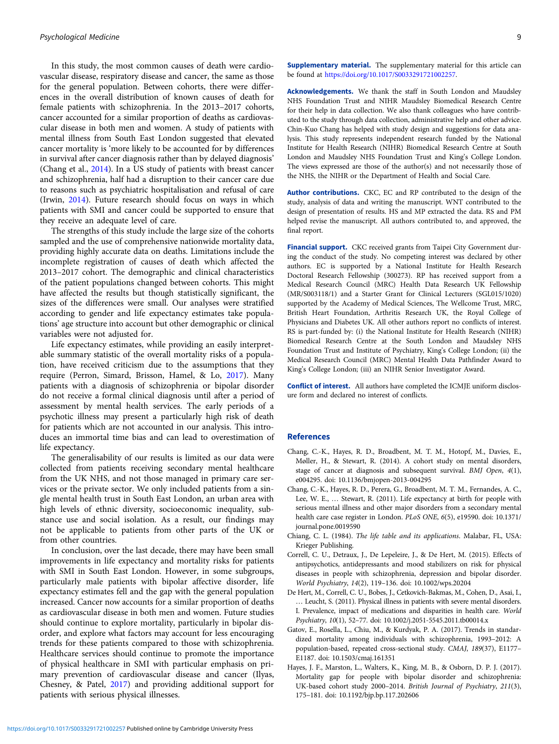<span id="page-8-0"></span>In this study, the most common causes of death were cardiovascular disease, respiratory disease and cancer, the same as those for the general population. Between cohorts, there were differences in the overall distribution of known causes of death for female patients with schizophrenia. In the 2013–2017 cohorts, cancer accounted for a similar proportion of deaths as cardiovascular disease in both men and women. A study of patients with mental illness from South East London suggested that elevated cancer mortality is 'more likely to be accounted for by differences in survival after cancer diagnosis rather than by delayed diagnosis' (Chang et al., 2014). In a US study of patients with breast cancer and schizophrenia, half had a disruption to their cancer care due to reasons such as psychiatric hospitalisation and refusal of care (Irwin, [2014](#page-9-0)). Future research should focus on ways in which patients with SMI and cancer could be supported to ensure that they receive an adequate level of care.

The strengths of this study include the large size of the cohorts sampled and the use of comprehensive nationwide mortality data, providing highly accurate data on deaths. Limitations include the incomplete registration of causes of death which affected the 2013–2017 cohort. The demographic and clinical characteristics of the patient populations changed between cohorts. This might have affected the results but though statistically significant, the sizes of the differences were small. Our analyses were stratified according to gender and life expectancy estimates take populations' age structure into account but other demographic or clinical variables were not adjusted for.

Life expectancy estimates, while providing an easily interpretable summary statistic of the overall mortality risks of a population, have received criticism due to the assumptions that they require (Perron, Simard, Brisson, Hamel, & Lo, [2017](#page-9-0)). Many patients with a diagnosis of schizophrenia or bipolar disorder do not receive a formal clinical diagnosis until after a period of assessment by mental health services. The early periods of a psychotic illness may present a particularly high risk of death for patients which are not accounted in our analysis. This introduces an immortal time bias and can lead to overestimation of life expectancy.

The generalisability of our results is limited as our data were collected from patients receiving secondary mental healthcare from the UK NHS, and not those managed in primary care services or the private sector. We only included patients from a single mental health trust in South East London, an urban area with high levels of ethnic diversity, socioeconomic inequality, substance use and social isolation. As a result, our findings may not be applicable to patients from other parts of the UK or from other countries.

In conclusion, over the last decade, there may have been small improvements in life expectancy and mortality risks for patients with SMI in South East London. However, in some subgroups, particularly male patients with bipolar affective disorder, life expectancy estimates fell and the gap with the general population increased. Cancer now accounts for a similar proportion of deaths as cardiovascular disease in both men and women. Future studies should continue to explore mortality, particularly in bipolar disorder, and explore what factors may account for less encouraging trends for these patients compared to those with schizophrenia. Healthcare services should continue to promote the importance of physical healthcare in SMI with particular emphasis on primary prevention of cardiovascular disease and cancer (Ilyas, Chesney, & Patel, [2017\)](#page-9-0) and providing additional support for patients with serious physical illnesses.

Supplementary material. The supplementary material for this article can be found at [https://doi.org/10.1017/S0033291721002257.](https://doi.org/10.1017/S0033291721002257)

Acknowledgements. We thank the staff in South London and Maudsley NHS Foundation Trust and NIHR Maudsley Biomedical Research Centre for their help in data collection. We also thank colleagues who have contributed to the study through data collection, administrative help and other advice. Chin-Kuo Chang has helped with study design and suggestions for data analysis. This study represents independent research funded by the National Institute for Health Research (NIHR) Biomedical Research Centre at South London and Maudsley NHS Foundation Trust and King's College London. The views expressed are those of the author(s) and not necessarily those of the NHS, the NIHR or the Department of Health and Social Care.

Author contributions. CKC, EC and RP contributed to the design of the study, analysis of data and writing the manuscript. WNT contributed to the design of presentation of results. HS and MP extracted the data. RS and PM helped revise the manuscript. All authors contributed to, and approved, the final report.

Financial support. CKC received grants from Taipei City Government during the conduct of the study. No competing interest was declared by other authors. EC is supported by a National Institute for Health Research Doctoral Research Fellowship (300273). RP has received support from a Medical Research Council (MRC) Health Data Research UK Fellowship (MR/S003118/1) and a Starter Grant for Clinical Lecturers (SGL015/1020) supported by the Academy of Medical Sciences, The Wellcome Trust, MRC, British Heart Foundation, Arthritis Research UK, the Royal College of Physicians and Diabetes UK. All other authors report no conflicts of interest. RS is part-funded by: (i) the National Institute for Health Research (NIHR) Biomedical Research Centre at the South London and Maudsley NHS Foundation Trust and Institute of Psychiatry, King's College London; (ii) the Medical Research Council (MRC) Mental Health Data Pathfinder Award to King's College London; (iii) an NIHR Senior Investigator Award.

Conflict of interest. All authors have completed the ICMJE uniform disclosure form and declared no interest of conflicts.

## References

- Chang, C.-K., Hayes, R. D., Broadbent, M. T. M., Hotopf, M., Davies, E., Møller, H., & Stewart, R. (2014). A cohort study on mental disorders, stage of cancer at diagnosis and subsequent survival. BMJ Open, 4(1), e004295. doi: 10.1136/bmjopen-2013-004295
- Chang, C.-K., Hayes, R. D., Perera, G., Broadbent, M. T. M., Fernandes, A. C., Lee, W. E., … Stewart, R. (2011). Life expectancy at birth for people with serious mental illness and other major disorders from a secondary mental health care case register in London. PLoS ONE, 6(5), e19590. doi: 10.1371/ journal.pone.0019590
- Chiang, C. L. (1984). The life table and its applications. Malabar, FL, USA: Krieger Publishing.
- Correll, C. U., Detraux, J., De Lepeleire, J., & De Hert, M. (2015). Effects of antipsychotics, antidepressants and mood stabilizers on risk for physical diseases in people with schizophrenia, depression and bipolar disorder. World Psychiatry, 14(2), 119–136. doi: 10.1002/wps.20204
- De Hert, M., Correll, C. U., Bobes, J., Cetkovich-Bakmas, M., Cohen, D., Asai, I., … Leucht, S. (2011). Physical illness in patients with severe mental disorders. I. Prevalence, impact of medications and disparities in health care. World Psychiatry, 10(1), 52–77. doi: 10.1002/j.2051-5545.2011.tb00014.x
- Gatov, E., Rosella, L., Chiu, M., & Kurdyak, P. A. (2017). Trends in standardized mortality among individuals with schizophrenia, 1993–2012: A population-based, repeated cross-sectional study. CMAJ, 189(37), E1177– E1187. doi: 10.1503/cmaj.161351
- Hayes, J. F., Marston, L., Walters, K., King, M. B., & Osborn, D. P. J. (2017). Mortality gap for people with bipolar disorder and schizophrenia: UK-based cohort study 2000–2014. British Journal of Psychiatry, 211(3), 175–181. doi: 10.1192/bjp.bp.117.202606